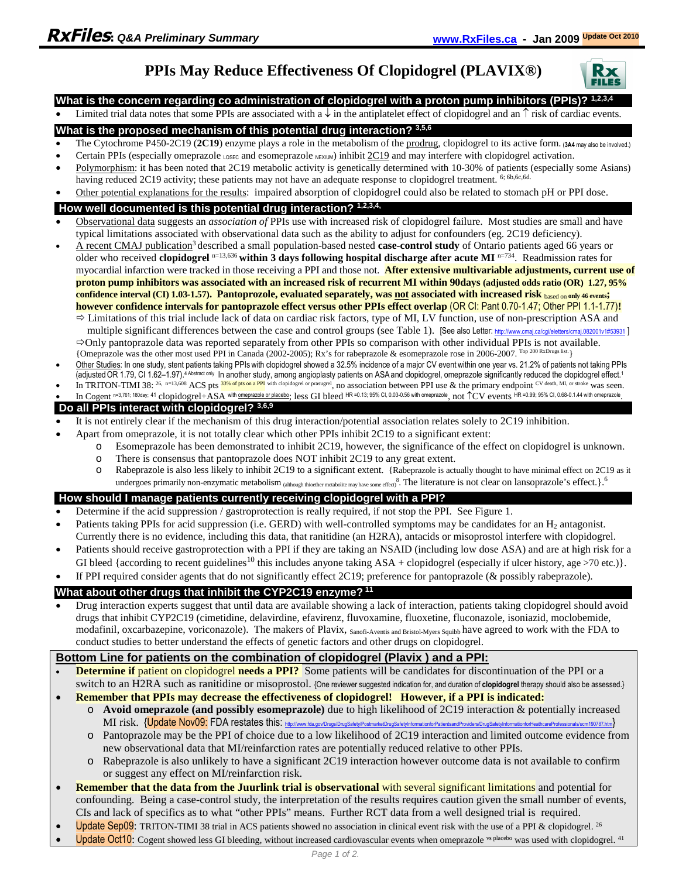# **PPIs May Reduce Effectiveness Of Clopidogrel (PLAVIX®)**



#### **What is the concern regarding co administration of clopidogrel with a proton pump inhibitors (PPIs)? 1,2,3,4**

Limited trial data notes that some PPIs are associated with a  $\downarrow$  in the antiplatelet effect of clopidogrel and an  $\uparrow$  risk of cardiac events.

#### **What is the proposed mechanism of this potential drug interaction? 3,5,6**

- The Cytochrome P450-2C19 (**2C19**) enzyme plays a role in the metabolism of the prodrug, clopidogrel to its active form. (**3A4** may also be involved.)
- Certain PPIs (especially omeprazole LOSEC and esomeprazole NEXIUM) inhibit  $2C19$  and may interfere with clopidogrel activation.
- Polymorphism: it has been noted that 2C19 metabolic activity is genetically determined with 10-30% of patients (especially some Asians) having reduced 2C19 activity; these patients may not have an adequate response to clopidogrel treatment. <sup>6; 6b,6c,6d.</sup>
- Other potential explanations for the results: impaired absorption of clopidogrel could also be related to stomach pH or PPI dose.

#### **How well documented is this potential drug interaction? 1,2,3,4,**

- Observational data suggests an *association of* PPIs use with increased risk of clopidogrel failure. Most studies are small and have typical limitations associated with observational data such as the ability to adjust for confounders (eg. 2C19 deficiency).
- A recent CMAJ publication<sup>3</sup> described a small population-based nested **case-control study** of Ontario patients aged 66 years or older who received **clopidogrel** n=13,636 **within 3 days following hospital discharge after acute MI** n=734. Readmission rates for myocardial infarction were tracked in those receiving a PPI and those not. **After extensive multivariable adjustments, current use of proton pump inhibitors was associated with an increased risk of recurrent MI within 90days (adjusted odds ratio (OR) 1.27, 95% confidence interval (CI) 1.03-1.57). Pantoprozole, evaluated separately, was not associated with increased risk** based on **only 46 events; however confidence intervals for pantoprazole effect versus other PPIs effect overlap** (OR CI: Pant 0.70-1.47; Other PPI 1.1-1.77)**!** 
	- $\Rightarrow$  Limitations of this trial include lack of data on cardiac risk factors, type of MI, LV function, use of non-prescription ASA and multiple significant differences between the case and control groups (see Table 1). [See also Letter: http://www.cmaj.ca/cqi/eletters/cmaj.082001v1#53931 ]  $\Rightarrow$  Only pantoprazole data was reported separately from other PPIs so comparison with other individual PPIs is not available.
	- {Omeprazole was the other most used PPI in Canada (2002-2005); Rx's for rabeprazole & esomeprazole rose in 2006-2007. Top 200 RxDrugs list.}
- Other Studies: In one study, stent patients taking PPIswith clopidogrel showed a 32.5% incidence of a major CV eventwithin one year vs. 21.2% of patients not taking PPIs (adjusted OR 1.79, CI 1.62-1.97).<sup>4 Abstract only</sup> In another study, among angioplasty patients on ASA and clopidogrel, omeprazole significantly reduced the clopidogrel effect.<sup>1</sup>
- In TRITON-TIMI 38:  $^{26}$ , n=13,608 ACS pts  $^{33\%}$  of pts on a PPI with clopidogrel or prasugrel, no association between PPI use & the primary endpoint CV death, MI, or stroke was seen.
- In Cogent n=3,761; 180day; 41 clopidogrel+ASA with <u>omeprazole or placebo</u>; less GI bleed HR=0.13; 95% CI, 0.03-0.56 with omeprazole, not ↑ CV events HR=0.99; 95% CI, 0.68-0.1.44 with omeprazole.

# **Do all PPIs interact with clopidogrel? 3,6,9**

- It is not entirely clear if the mechanism of this drug interaction/potential association relates solely to 2C19 inhibition.
	- Apart from omeprazole, it is not totally clear which other PPIs inhibit 2C19 to a significant extent:
		- o Esomeprazole has been demonstrated to inhibit 2C19, however, the significance of the effect on clopidogrel is unknown.
		- o There is consensus that pantoprazole does NOT inhibit 2C19 to any great extent.
		- o Rabeprazole is also less likely to inhibit 2C19 to a significant extent. {Rabeprazole is actually thought to have minimal effect on 2C19 as it undergoes primarily non-enzymatic metabolism  $_{\text{(although thicker mechanical) new have some effect}}$ . The literature is not clear on lansoprazole's effect.}.<sup>6</sup>

## **How should I manage patients currently receiving clopidogrel with a PPI?**

- Determine if the acid suppression / gastroprotection is really required, if not stop the PPI. See Figure 1.
- Patients taking PPIs for acid suppression (i.e. GERD) with well-controlled symptoms may be candidates for an H<sub>2</sub> antagonist. Currently there is no evidence, including this data, that ranitidine (an H2RA), antacids or misoprostol interfere with clopidogrel.
- Patients should receive gastroprotection with a PPI if they are taking an NSAID (including low dose ASA) and are at high risk for a GI bleed {according to recent guidelines<sup>10</sup> this includes anyone taking  $ASA +$  clopidogrel (especially if ulcer history, age >70 etc.)}.
- If PPI required consider agents that do not significantly effect 2C19; preference for pantoprazole (& possibly rabeprazole).

## **What about other drugs that inhibit the CYP2C19 enzyme?<sup>11</sup>**

 Drug interaction experts suggest that until data are available showing a lack of interaction, patients taking clopidogrel should avoid drugs that inhibit CYP2C19 (cimetidine, delavirdine, efavirenz, fluvoxamine, fluoxetine, fluconazole, isoniazid, moclobemide, modafinil, oxcarbazepine, voriconazole). The makers of Plavix, Sanofi-Aventis and Bristol-Myers Squibb have agreed to work with the FDA to conduct studies to better understand the effects of genetic factors and other drugs on clopidogrel.

## **Bottom Line for patients on the combination of clopidogrel (Plavix ) and a PPI:**

- **Determine if** patient on clopidogrel **needs a PPI?** Some patients will be candidates for discontinuation of the PPI or a switch to an H2RA such as ranitidine or misoprostol. {One reviewer suggested indication for, and duration of **clopidogrel** therapy should also be assessed.}
- **Remember that PPIs may decrease the effectiveness of clopidogrel! However, if a PPI is indicated:** 
	- o **Avoid omeprazole (and possibly esomeprazole)** due to high likelihood of 2C19 interaction & potentially increased MI risk. {Update Nov09: FDA restates this: http://www.fda.gov/Drugs/DrugSafety/PostmarketDrugSafetyInformationforPatientsandPr
	- o Pantoprazole may be the PPI of choice due to a low likelihood of 2C19 interaction and limited outcome evidence from new observational data that MI/reinfarction rates are potentially reduced relative to other PPIs.
	- o Rabeprazole is also unlikely to have a significant 2C19 interaction however outcome data is not available to confirm or suggest any effect on MI/reinfarction risk.
- **Remember that the data from the Juurlink trial is observational with several significant limitations** and potential for confounding. Being a case-control study, the interpretation of the results requires caution given the small number of events, CIs and lack of specifics as to what "other PPIs" means. Further RCT data from a well designed trial is required.
- Update Sep09: TRITON-TIMI 38 trial in ACS patients showed no association in clinical event risk with the use of a PPI & clopidogrel. <sup>26</sup>
- **Update Oct10:** Cogent showed less GI bleeding, without increased cardiovascular events when omeprazole  $\frac{1}{2}$ <sup>s placebo</sup> was used with clopidogrel. <sup>41</sup>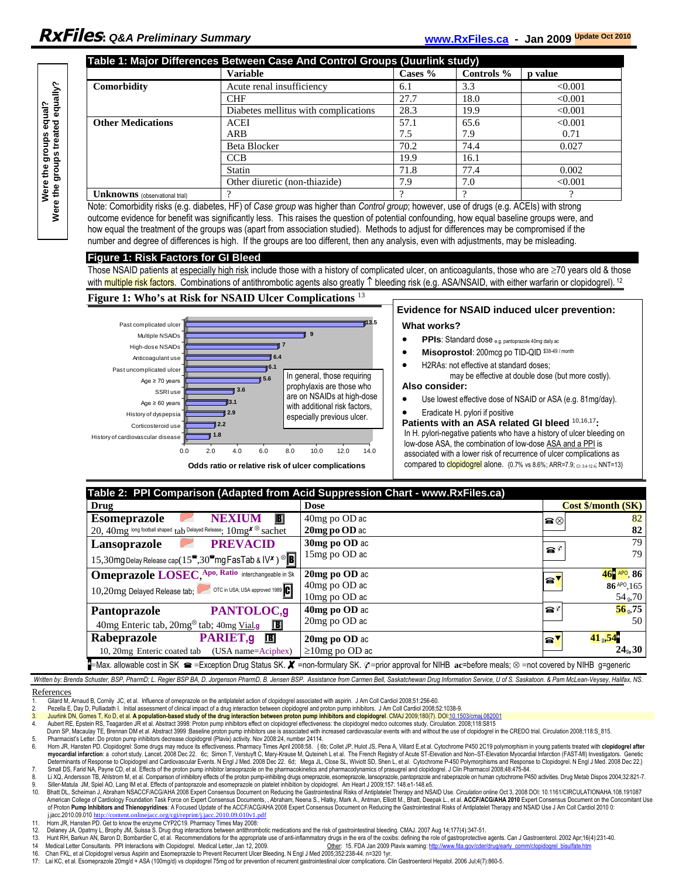| Table 1: Major Differences Between Case And Control Groups (Juurlink study) |                                      |         |            |                |  |
|-----------------------------------------------------------------------------|--------------------------------------|---------|------------|----------------|--|
|                                                                             | <b>Variable</b>                      | Cases % | Controls % | <b>p</b> value |  |
| Comorbidity                                                                 | Acute renal insufficiency            | 6.1     | 3.3        | < 0.001        |  |
|                                                                             | <b>CHF</b>                           | 27.7    | 18.0       | < 0.001        |  |
|                                                                             | Diabetes mellitus with complications | 28.3    | 19.9       | < 0.001        |  |
| <b>Other Medications</b>                                                    | <b>ACEI</b>                          | 57.1    | 65.6       | < 0.001        |  |
|                                                                             | <b>ARB</b>                           | 7.5     | 7.9        | 0.71           |  |
|                                                                             | Beta Blocker                         | 70.2    | 74.4       | 0.027          |  |
|                                                                             | <b>CCB</b>                           | 19.9    | 16.1       |                |  |
|                                                                             | <b>Statin</b>                        | 71.8    | 77.4       | 0.002          |  |
|                                                                             | Other diuretic (non-thiazide)        | 7.9     | 7.0        | < 0.001        |  |
| <b>Unknowns</b> (observational trial)                                       |                                      |         |            |                |  |

Note: Comorbidity risks (e.g. diabetes, HF) of *Case group* was higher than *Control group*; however, use of drugs (e.g. ACEIs) with strong outcome evidence for benefit was significantly less. This raises the question of potential confounding, how equal baseline groups were, and how equal the treatment of the groups was (apart from association studied). Methods to adjust for differences may be compromised if the number and degree of differences is high. If the groups are too different, then any analysis, even with adjustments, may be misleading.

#### **Figure 1: Risk Factors for GI Bleed**

Those NSAID patients at especially high risk include those with a history of complicated ulcer, on anticoagulants, those who are ≥70 years old & those with multiple risk factors. Combinations of antithrombotic agents also greatly  $\uparrow$  bleeding risk (e.g. ASA/NSAID, with either warfarin or clopidogrel).<sup>12</sup>

#### **Figure 1: Who's at Risk for NSAID Ulcer Complications** <sup>13</sup>



| Table 2: PPI Comparison (Adapted from Acid Suppression Chart - www.RxFiles.ca)                                                                                                                                               |                      |                                                    |  |  |  |
|------------------------------------------------------------------------------------------------------------------------------------------------------------------------------------------------------------------------------|----------------------|----------------------------------------------------|--|--|--|
| Drug                                                                                                                                                                                                                         | <b>Dose</b>          | <b>Cost \$/month (SK)</b>                          |  |  |  |
| <b>Esomeprazole</b><br><b>NEXIUM</b>                                                                                                                                                                                         | 40mg po OD ac        | 82<br>$\textbf{a} \otimes$                         |  |  |  |
| $20.40$ mg long football shaped tab Delayed Release: $10$ mg $^{\chi\otimes}$ Sachet                                                                                                                                         | $20$ mg po OD ac     | 82                                                 |  |  |  |
| <b>PREVACID</b><br>Lansoprazole                                                                                                                                                                                              | 30mg po OD ac        | 79<br>$\bullet^{\circ}$                            |  |  |  |
| 15,30mg Delay Release cap(15 <sup>e</sup> ,30 <sup>e</sup> mg FasTab & IV <sup>x</sup> ) <sup><sup>®</sup></sup>                                                                                                             | 15mg po OD ac        | 79                                                 |  |  |  |
| <b>Omeprazole LOSEC</b> , Apo, Ratio interchangeable in Sk                                                                                                                                                                   | $20$ mg po $OD$ ac   | $46^{\circ}$ APO, 86<br>a'                         |  |  |  |
| 10,20mg Delayed Release tab; OTC in USA; USA approved 1989 C                                                                                                                                                                 | $40mg$ po OD ac      | 86 APO 165                                         |  |  |  |
|                                                                                                                                                                                                                              | $10mg$ po OD ac      | $549$ ,70                                          |  |  |  |
| PANTOLOC,g<br>Pantoprazole                                                                                                                                                                                                   | $40$ mg po OD ac     | $56$ <sub>0</sub> .75<br>$\mathbf{a}^{\prime}$     |  |  |  |
| 40mg Enteric tab, $20mg^{\otimes}$ tab; 40mg Vial,g<br>$\mathbf{E}$                                                                                                                                                          | 20mg po OD ac        | 50                                                 |  |  |  |
| Rabeprazole<br>PARIET, g<br>$\mathbf{E}$                                                                                                                                                                                     | 20mg po OD ac        | $41_{9}$ , 54 $^{\circ}$<br>$\bullet$ <sup>v</sup> |  |  |  |
| 10, 20mg Enteric coated tab (USA name=Aciphex)                                                                                                                                                                               | $\geq$ 10mg po OD ac | $24_0, 30$                                         |  |  |  |
| $\blacksquare$ -Max. allowable cost in SK $\blacksquare$ -Exception Drug Status SK. $\blacktriangledown$ =non-formulary SK. $\varnothing$ =prior approval for NIHB ac=before meals; $\otimes$ =not covered by NIHB g=generic |                      |                                                    |  |  |  |

Written by: Brenda Schuster, BSP, PharmD; L. Regier BSP BA, D. Jorgenson PharmD, B. Jensen BSP. Assistance from Carmen Bell, Saskatchewan Drug Information Service, U of S. Saskatoon. & Pam McLean-Veysey, Halifax, NS.

References

1. Gilard M, Arnaud B, Cornily JC, et al. Influence of omeprazole on the antiplatelet action of clopidogrel associated with aspirin. J Am Coll Cardiol 2008;51:256-60.

2. Pezella E, Day D, Pulliadath I. Initial assessment of clinical impact of a drug interaction between clopidogrel and proton pump inhibitors. J Am Coll Cardiol 2008;52:1038-9.

3. Juurlink DN, Gomes T, Ko D, et al. **A population-based study of the drug interaction between proton pump inhibitors and clopidogrel. CMAJ 2009;180(7). DOI:<u>10.1503/cmai.082001</u><br>4. Aubert RE, Epstein RS, Teagarden JR et** 

Dunn SP, Macaulay TE, Brennan DM et al. Abstract 3999 :Baseline proton pump inhibitors use is associated with increased cardiovascular events with and without the use of clopidogrel in the CREDO trial. Circulation 2008;118

- 5. Pharmacist's Letter. Do proton pump inhibitors decrease clopidogrel (Plavix) activity. Nov 2008:24, number 24114.<br>6. Horn JR, Hansten PD. Clopidogrel: Some drugs may reduce its effectiveness. Pharmacy Times April 2008:5 7. Small DS, Farid NA, Payne CD, et al. Effects of the proton pump inhibitor lansoprazole on the pharmacokinetics and pharmacodynamics of prasugrel and clopidogrel. J Clin Pharmacol 2008;48:475-84.
- 8. Li XQ, Andersson TB, Ahlstrom M, et al. Comparison of inhibitory effects of the proton pump-inhibiting drugs omeprazole, esomeprazole, lansoprazole, pantoprazole and rabeprazole on human cytochrome P450 activities. Drug
- 9. Siller-Matula JM, Spiel AO, Lang IM et al. Effects of pantoprazole and esomeprazole on platelet inhibition by clopidogrel. Am Heart J 2009;157: 148.e1-148.e5.<br>10. Bhatt DJ, Scheiman J, Abraham NSACCF/ACG/AHA 2008 Expert
- 10. Bhatt DL, Scheiman J, Abraham NSACCF/ACG/AHA 2008 Expert Consensus Document on Reducing the Gastrointestinal Risks of Antiplatelet Therapy and NSAID Use. Circulation online Oct 3, 2008 DO: 10.1161/CIRCULATIONAHA.108.19 of Proton Pump Inhibitors and Thienopyridines: A Focused Update of the ACCF/ACG/AHA 2008 Expert Consensus Document on Reducing the Gastrointestinal Risks of Antiplatelet Therapy and NSAID Use J Am Coll Cardiol 2010 0:<br>j.ja  $nt/i.$ jacc.2010.09.010v1.pdf
- 11. Horn JR, Hansten PD. Get to know the enzyme CYP2C19. Pharmacy Times May 2008:

- 13. Hunt RH, Barkun AN, Baron D, Bombardier C, et al. Recommendations for the appropriate use of anti-inflammatory drugs in the era of the coxibs: defining the role of gastroprotective agents. Can J Gastroenterol. 2002 Apr
- 
- 17: Lai KC, et al. Esomeprazole 20mg/d + ASA (100mg/d) vs clopidogrel 75mg od for prevention of recurrent gastrointestinal ulcer complications. Clin Gastroenterol Hepatol. 2006 Jul;4(7):860-5.

<sup>12.</sup> Delaney JA, Opatrny L, Brophy JM, Suissa S. Drug drug interactions between antithrombotic medications and the risk of gastrointestinal bleeding. CMAJ. 2007 Aug 14;177(4):347-51.<br>13. Hunt RH. Barkun AN. Baron D. Bombard